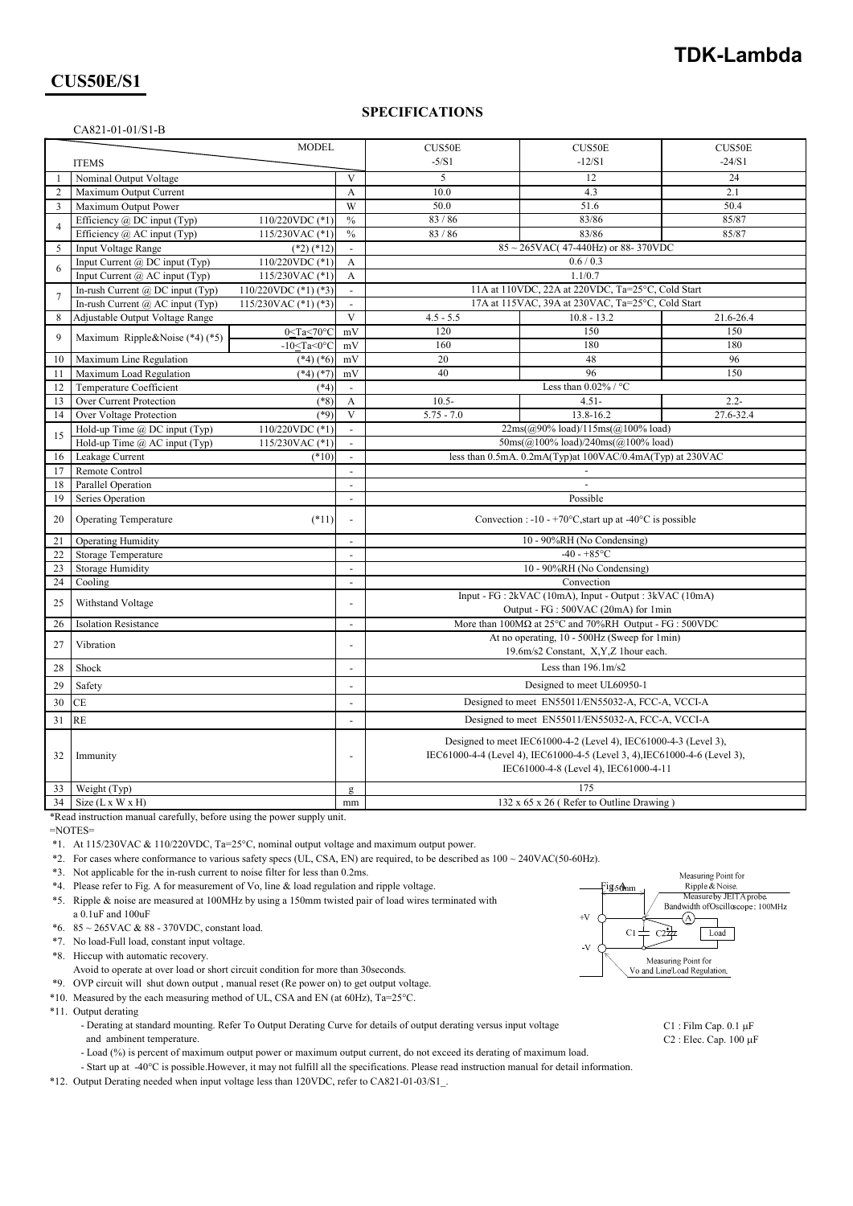## **TDK-Lambda**

## **CUS50E/S1**

### **SPECIFICATIONS**

|                | CA821-01-01/S1-B                                                                    |                                                 |                                                                                                                                                |  |  |
|----------------|-------------------------------------------------------------------------------------|-------------------------------------------------|------------------------------------------------------------------------------------------------------------------------------------------------|--|--|
|                | <b>MODEL</b>                                                                        |                                                 | CUS50E<br>CUS50E<br>CUS50E                                                                                                                     |  |  |
|                | <b>ITEMS</b>                                                                        |                                                 | $-5/S1$<br>$-24/S1$<br>$-12/S1$                                                                                                                |  |  |
| -1             | Nominal Output Voltage                                                              | $\mathbf{V}$                                    | 5<br>12<br>24                                                                                                                                  |  |  |
| $\overline{2}$ | Maximum Output Current                                                              | $\mathbf{A}$                                    | 10.0<br>4.3<br>2.1                                                                                                                             |  |  |
| 3              | Maximum Output Power                                                                | W                                               | 50.0<br>51.6<br>50.4                                                                                                                           |  |  |
|                | Efficiency @ DC input (Typ)<br>110/220VDC (*1)                                      | $\frac{0}{0}$                                   | 83/86<br>83/86<br>85/87                                                                                                                        |  |  |
| $\overline{4}$ | Efficiency $(a)$ AC input (Typ)<br>115/230VAC (*1)                                  | $\%$                                            | 83/86<br>83/86<br>85/87                                                                                                                        |  |  |
| 5              | <b>Input Voltage Range</b><br>$(*2)$ $(*12)$                                        | $\mathcal{L}^{\mathcal{A}}$                     | $85 \sim 265 \text{VAC}$ (47-440Hz) or 88-370VDC                                                                                               |  |  |
|                | Input Current $(a)$ DC input (Typ)<br>110/220VDC (*1)                               | $\mathbf{A}$                                    | 0.6 / 0.3                                                                                                                                      |  |  |
| 6              | 115/230VAC (*1)<br>Input Current $(a)$ AC input (Typ)                               | $\mathbf{A}$                                    | 1.1/0.7                                                                                                                                        |  |  |
|                | In-rush Current $(a)$ DC input (Typ)<br>110/220VDC $(*1)$ $(*3)$                    | $\Box$                                          | 11A at 110VDC, 22A at 220VDC, Ta=25°C, Cold Start                                                                                              |  |  |
| $\overline{7}$ | 115/230VAC $(*1)$ $(*3)$<br>In-rush Current $(a)$ AC input (Typ)                    | $\overline{\phantom{a}}$                        | 17A at 115VAC, 39A at 230VAC, Ta=25°C, Cold Start                                                                                              |  |  |
| $\,8\,$        | Adjustable Output Voltage Range                                                     | $\mathbf{V}$                                    | $4.5 - 5.5$<br>$10.8 - 13.2$<br>21.6-26.4                                                                                                      |  |  |
|                | $0 < Ta < 70$ °C                                                                    | mV                                              | 120<br>150<br>150                                                                                                                              |  |  |
| 9              | Maximum Ripple&Noise (*4) (*5)<br>-10 <ta<0<math>°C</ta<0<math>                     | mV                                              | 160<br>180<br>180                                                                                                                              |  |  |
| 10             | Maximum Line Regulation<br>$(*4)$ $(*6)$                                            | mV                                              | 48<br>96<br>20                                                                                                                                 |  |  |
| 11             | Maximum Load Regulation<br>$(*4)$ $(*7)$                                            | mV                                              | 40<br>96<br>150                                                                                                                                |  |  |
| 12             | Temperature Coefficient<br>$(*4)$                                                   | $\overline{\phantom{a}}$                        | Less than $0.02\%$ / °C                                                                                                                        |  |  |
| 13             | Over Current Protection<br>$(*8)$                                                   | $\mathbf{A}$                                    | $4.51 -$<br>$2.2 -$<br>$10.5 -$                                                                                                                |  |  |
| 14             | Over Voltage Protection<br>$(*9)$                                                   | $\mathbf{V}$                                    | 27.6-32.4<br>$5.75 - 7.0$<br>13.8-16.2                                                                                                         |  |  |
|                | Hold-up Time @ DC input (Typ)<br>110/220VDC (*1)                                    | $\mathbb{Z}^+$                                  | $22ms((a)90\% load)/115ms((a)100\% load)$                                                                                                      |  |  |
| 15             | Hold-up Time $(a)$ AC input (Typ)<br>115/230VAC (*1)                                | $\blacksquare$                                  | 50ms(@100% load)/240ms(@100% load)                                                                                                             |  |  |
| 16             | Leakage Current<br>$(*10)$                                                          | $\omega$                                        | less than 0.5mA. 0.2mA(Typ)at 100VAC/0.4mA(Typ) at 230VAC                                                                                      |  |  |
| 17             | Remote Control                                                                      | $\blacksquare$                                  |                                                                                                                                                |  |  |
| 18             | Parallel Operation                                                                  | $\blacksquare$                                  |                                                                                                                                                |  |  |
| 19             | Series Operation                                                                    | $\overline{\phantom{a}}$                        | Possible                                                                                                                                       |  |  |
|                |                                                                                     | $\overline{a}$                                  | Convection : -10 - +70 $\degree$ C, start up at -40 $\degree$ C is possible                                                                    |  |  |
| 20             | <b>Operating Temperature</b><br>$(*11)$                                             |                                                 |                                                                                                                                                |  |  |
| 21             | <b>Operating Humidity</b>                                                           | $\mathbf{r}$                                    | 10 - 90%RH (No Condensing)                                                                                                                     |  |  |
| 22             | Storage Temperature                                                                 |                                                 | $-40 - +85$ °C                                                                                                                                 |  |  |
| 23             | <b>Storage Humidity</b>                                                             | 10 - 90%RH (No Condensing)<br>$\mathbf{r}$      |                                                                                                                                                |  |  |
| 24             | Cooling                                                                             | $\Box$                                          | Convection                                                                                                                                     |  |  |
| 25             | Input - FG : 2kVAC (10mA), Input - Output : 3kVAC (10mA)<br>Withstand Voltage<br>÷. |                                                 |                                                                                                                                                |  |  |
| 26             | <b>Isolation Resistance</b>                                                         | $\overline{\phantom{a}}$                        | Output - FG : 500VAC (20mA) for 1min<br>More than $100M\Omega$ at $25^{\circ}$ C and $70\%$ RH Output - FG : 500VDC                            |  |  |
|                |                                                                                     | $\overline{a}$                                  | At no operating, 10 - 500Hz (Sweep for 1min)                                                                                                   |  |  |
| 27             | Vibration                                                                           |                                                 | 19.6m/s2 Constant, X,Y,Z 1hour each.                                                                                                           |  |  |
| 28             | Shock                                                                               | Less than $196.1 \text{m/s2}$<br>$\blacksquare$ |                                                                                                                                                |  |  |
| 29             | Safety                                                                              | $\blacksquare$                                  | Designed to meet UL60950-1                                                                                                                     |  |  |
| 30             | Designed to meet EN55011/EN55032-A, FCC-A, VCCI-A<br>CE<br>$\overline{\phantom{a}}$ |                                                 |                                                                                                                                                |  |  |
| 31             | <b>RE</b>                                                                           | $\overline{\phantom{a}}$                        | Designed to meet EN55011/EN55032-A, FCC-A, VCCI-A                                                                                              |  |  |
| 32             | Immunity                                                                            |                                                 | Designed to meet IEC61000-4-2 (Level 4), IEC61000-4-3 (Level 3),<br>IEC61000-4-4 (Level 4), IEC61000-4-5 (Level 3, 4), IEC61000-4-6 (Level 3), |  |  |
|                |                                                                                     |                                                 | IEC61000-4-8 (Level 4), IEC61000-4-11                                                                                                          |  |  |
| 33             | Weight (Typ)                                                                        | $\mathbf{g}$                                    | 175                                                                                                                                            |  |  |
| 34             | Size $(L x W x H)$                                                                  | 132 x 65 x 26 (Refer to Outline Drawing)<br>mm  |                                                                                                                                                |  |  |

\*Read instruction manual carefully, before using the power supply unit.

=NOTES=

\*1. At 115/230VAC & 110/220VDC, Ta=25°C, nominal output voltage and maximum output power.

\*2. For cases where conformance to various safety specs (UL, CSA, EN) are required, to be described as 100 ~ 240VAC(50-60Hz).

\*3. Not applicable for the in-rush current to noise filter for less than 0.2ms.

\*4. Please refer to Fig. A for measurement of Vo, line & load regulation and ripple voltage.  $\qquad \qquad \qquad \qquad$ Fig.  $\mathfrak{A}_{mm}$ 

\*5. Ripple & noise are measured at 100MHz by using a 150mm twisted pair of load wires terminated with a 0.1uF and 100uF

\*6. 85 ~ 265VAC & 88 - 370VDC, constant load.

\*7. No load-Full load, constant input voltage.

\*8. Hiccup with automatic recovery.

Avoid to operate at over load or short circuit condition for more than 30seconds.

\*9. OVP circuit will shut down output , manual reset (Re power on) to get output voltage.

\*10. Measured by the each measuring method of UL, CSA and EN (at 60Hz),  $Ta=25^{\circ}C$ .

\*11. Output derating

- Derating at standard mounting. Refer To Output Derating Curve for details of output derating versus input voltage C1 : Film Cap. 0.1 µF and ambinent temperature. C2: Elec. Cap. 100  $\mu$ F

- Load (%) is percent of maximum output power or maximum output current, do not exceed its derating of maximum load.

- Start up at -40°C is possible.However, it may not fulfill all the specifications. Please read instruction manual for detail information.

\*12. Output Derating needed when input voltage less than 120VDC, refer to CA821-01-03/S1\_.

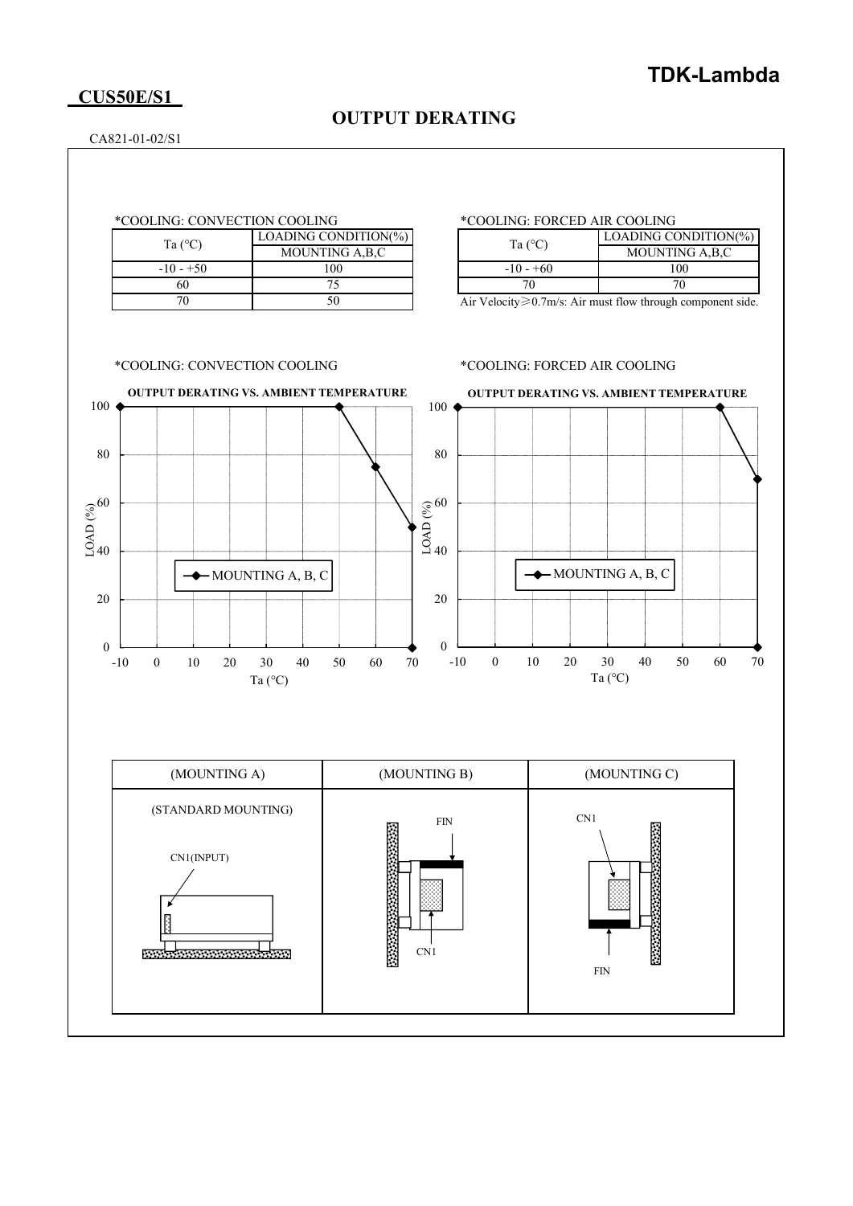### **CUS50E/S1**

## **OUTPUT DERATING**

CA821-01-02/S1

| Ta $(^{\circ}C)$ | LOADING CONDITION(%) |  |
|------------------|----------------------|--|
|                  | MOUNTING A, B, C     |  |
| $-10 - +50$      | 100                  |  |
| ናበ               |                      |  |
|                  |                      |  |

### \*COOLING: CONVECTION COOLING \*COOLING: FORCED AIR COOLING

| Ta $(^{\circ}C)$ | LOADING CONDITION(%) |
|------------------|----------------------|
|                  | MOUNTING A, B, C     |
| $-10 - +60$      | 100                  |
|                  |                      |

Air Velocity≥0.7m/s: Air must flow through component side.